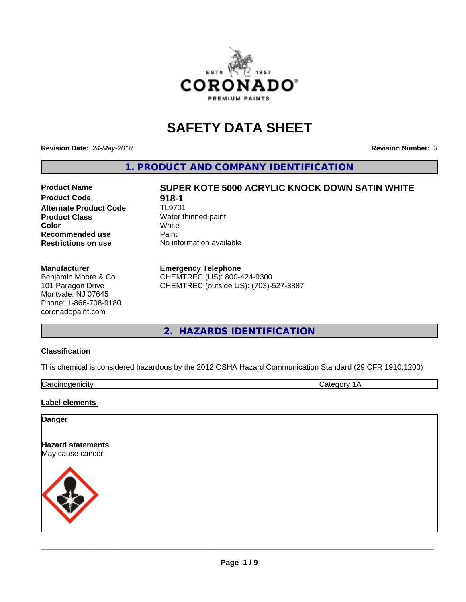

# **SAFETY DATA SHEET**

**Revision Date:** *24-May-2018* **Revision Number:** *3*

**1. PRODUCT AND COMPANY IDENTIFICATION**

# **Product Code 618-1**<br>**Alternate Product Code** TL9701 **Alternate Product Code Product Class** Water thinned paint<br> **Color** White **Recommended use** Paint **Restrictions on use** No information available

# **Product Name SUPER KOTE 5000 ACRYLIC KNOCK DOWN SATIN WHITE Color** White White

#### **Manufacturer**

Benjamin Moore & Co. 101 Paragon Drive Montvale, NJ 07645 Phone: 1-866-708-9180 coronadopaint.com

#### **Emergency Telephone**

CHEMTREC (US): 800-424-9300 CHEMTREC (outside US): (703)-527-3887

#### **2. HAZARDS IDENTIFICATION**

#### **Classification**

This chemical is considered hazardous by the 2012 OSHA Hazard Communication Standard (29 CFR 1910.1200)

Carcinogenicity **Category 1A** 

#### **Label elements**

#### **Danger**

**Hazard statements** May cause cancer

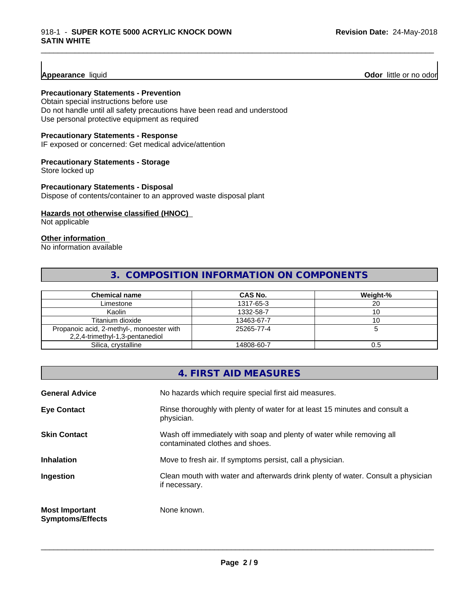**Appearance** liquid **Odor 11** Odor little or no odor

#### **Precautionary Statements - Prevention**

Obtain special instructions before use Do not handle until all safety precautions have been read and understood Use personal protective equipment as required

#### **Precautionary Statements - Response**

IF exposed or concerned: Get medical advice/attention

#### **Precautionary Statements - Storage**

Store locked up

#### **Precautionary Statements - Disposal**

Dispose of contents/container to an approved waste disposal plant

#### **Hazards not otherwise classified (HNOC)**

Not applicable

#### **Other information**

No information available

#### **3. COMPOSITION INFORMATION ON COMPONENTS**

\_\_\_\_\_\_\_\_\_\_\_\_\_\_\_\_\_\_\_\_\_\_\_\_\_\_\_\_\_\_\_\_\_\_\_\_\_\_\_\_\_\_\_\_\_\_\_\_\_\_\_\_\_\_\_\_\_\_\_\_\_\_\_\_\_\_\_\_\_\_\_\_\_\_\_\_\_\_\_\_\_\_\_\_\_\_\_\_\_\_\_\_\_

| <b>Chemical name</b>                                                         | CAS No.    | Weight-% |
|------------------------------------------------------------------------------|------------|----------|
| Limestone                                                                    | 1317-65-3  | 20       |
| Kaolin                                                                       | 1332-58-7  |          |
| Titanium dioxide                                                             | 13463-67-7 | טו       |
| Propanoic acid, 2-methyl-, monoester with<br>2,2,4-trimethyl-1,3-pentanediol | 25265-77-4 |          |
| Silica, crystalline                                                          | 14808-60-7 | U.5      |

|                                                  | 4. FIRST AID MEASURES                                                                                    |
|--------------------------------------------------|----------------------------------------------------------------------------------------------------------|
| <b>General Advice</b>                            | No hazards which require special first aid measures.                                                     |
| <b>Eye Contact</b>                               | Rinse thoroughly with plenty of water for at least 15 minutes and consult a<br>physician.                |
| <b>Skin Contact</b>                              | Wash off immediately with soap and plenty of water while removing all<br>contaminated clothes and shoes. |
| <b>Inhalation</b>                                | Move to fresh air. If symptoms persist, call a physician.                                                |
| Ingestion                                        | Clean mouth with water and afterwards drink plenty of water. Consult a physician<br>if necessary.        |
| <b>Most Important</b><br><b>Symptoms/Effects</b> | None known.                                                                                              |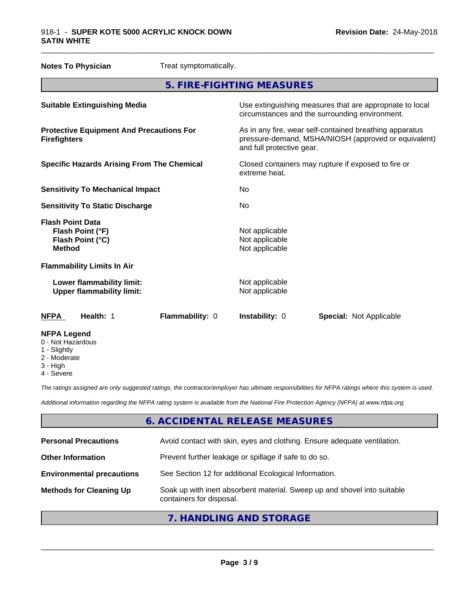| <b>Notes To Physician</b>                                                        | Treat symptomatically.                                                                                                                       |  |
|----------------------------------------------------------------------------------|----------------------------------------------------------------------------------------------------------------------------------------------|--|
|                                                                                  | 5. FIRE-FIGHTING MEASURES                                                                                                                    |  |
| <b>Suitable Extinguishing Media</b>                                              | Use extinguishing measures that are appropriate to local<br>circumstances and the surrounding environment.                                   |  |
| <b>Protective Equipment And Precautions For</b><br><b>Firefighters</b>           | As in any fire, wear self-contained breathing apparatus<br>pressure-demand, MSHA/NIOSH (approved or equivalent)<br>and full protective gear. |  |
| <b>Specific Hazards Arising From The Chemical</b>                                | Closed containers may rupture if exposed to fire or<br>extreme heat.                                                                         |  |
| <b>Sensitivity To Mechanical Impact</b>                                          | No                                                                                                                                           |  |
| <b>Sensitivity To Static Discharge</b>                                           | No.                                                                                                                                          |  |
| <b>Flash Point Data</b><br>Flash Point (°F)<br>Flash Point (°C)<br><b>Method</b> | Not applicable<br>Not applicable<br>Not applicable                                                                                           |  |
| <b>Flammability Limits In Air</b>                                                |                                                                                                                                              |  |
| Lower flammability limit:<br><b>Upper flammability limit:</b>                    | Not applicable<br>Not applicable                                                                                                             |  |
| Flammability: 0<br><b>NFPA</b><br>Health: 1                                      | Instability: 0<br><b>Special: Not Applicable</b>                                                                                             |  |
| <b>NFPA Legend</b><br>0 - Not Hazardous<br><b>Clinhtly</b>                       |                                                                                                                                              |  |

- 1 Slightly
- 2 Moderate
- 3 High
- 4 Severe

*The ratings assigned are only suggested ratings, the contractor/employer has ultimate responsibilities for NFPA ratings where this system is used.*

*Additional information regarding the NFPA rating system is available from the National Fire Protection Agency (NFPA) at www.nfpa.org.*

#### **6. ACCIDENTAL RELEASE MEASURES**

| <b>Personal Precautions</b>      | Avoid contact with skin, eyes and clothing. Ensure adequate ventilation.                             |
|----------------------------------|------------------------------------------------------------------------------------------------------|
| <b>Other Information</b>         | Prevent further leakage or spillage if safe to do so.                                                |
| <b>Environmental precautions</b> | See Section 12 for additional Ecological Information.                                                |
| <b>Methods for Cleaning Up</b>   | Soak up with inert absorbent material. Sweep up and shovel into suitable<br>containers for disposal. |
|                                  |                                                                                                      |

### **7. HANDLING AND STORAGE**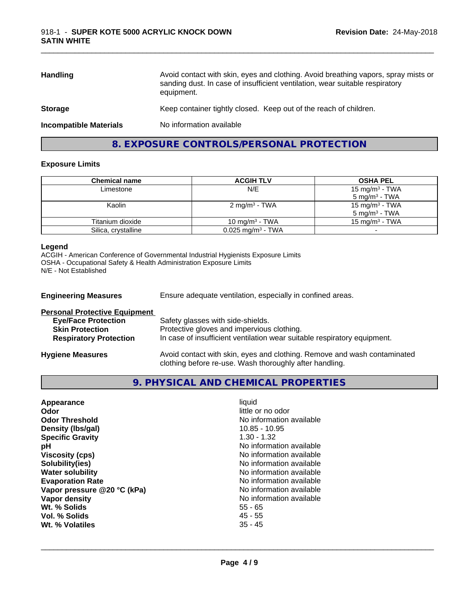| <b>Handling</b>               | Avoid contact with skin, eyes and clothing. Avoid breathing vapors, spray mists or<br>sanding dust. In case of insufficient ventilation, wear suitable respiratory<br>equipment. |
|-------------------------------|----------------------------------------------------------------------------------------------------------------------------------------------------------------------------------|
| <b>Storage</b>                | Keep container tightly closed. Keep out of the reach of children.                                                                                                                |
| <b>Incompatible Materials</b> | No information available                                                                                                                                                         |

\_\_\_\_\_\_\_\_\_\_\_\_\_\_\_\_\_\_\_\_\_\_\_\_\_\_\_\_\_\_\_\_\_\_\_\_\_\_\_\_\_\_\_\_\_\_\_\_\_\_\_\_\_\_\_\_\_\_\_\_\_\_\_\_\_\_\_\_\_\_\_\_\_\_\_\_\_\_\_\_\_\_\_\_\_\_\_\_\_\_\_\_\_

#### **8. EXPOSURE CONTROLS/PERSONAL PROTECTION**

#### **Exposure Limits**

| Chemical name       | <b>ACGIH TLV</b>                | <b>OSHA PEL</b>            |
|---------------------|---------------------------------|----------------------------|
| Limestone           | N/E                             | 15 mg/m <sup>3</sup> - TWA |
|                     |                                 | $5 \text{ mg/m}^3$ - TWA   |
| Kaolin              | $2 \text{ mg/m}^3$ - TWA        | 15 mg/m <sup>3</sup> - TWA |
|                     |                                 | 5 mg/m <sup>3</sup> - TWA  |
| Titanium dioxide    | 10 mg/m $3$ - TWA               | 15 mg/m <sup>3</sup> - TWA |
| Silica, crystalline | $0.025$ mg/m <sup>3</sup> - TWA |                            |

#### **Legend**

ACGIH - American Conference of Governmental Industrial Hygienists Exposure Limits OSHA - Occupational Safety & Health Administration Exposure Limits N/E - Not Established

| <b>Engineering Measures</b>                                                                  | Ensure adequate ventilation, especially in confined areas.                      |  |
|----------------------------------------------------------------------------------------------|---------------------------------------------------------------------------------|--|
| <b>Personal Protective Equipment</b><br><b>Eye/Face Protection</b><br><b>Skin Protection</b> | Safety glasses with side-shields.<br>Protective gloves and impervious clothing. |  |
| <b>Respiratory Protection</b>                                                                | In case of insufficient ventilation wear suitable respiratory equipment.        |  |
| <b>Hygiene Measures</b>                                                                      | Avoid contact with skin, eyes and clothing. Remove and wash contaminated        |  |

# **9. PHYSICAL AND CHEMICAL PROPERTIES**

clothing before re-use. Wash thoroughly after handling.

| liquid<br>little or no odor<br>No information available<br>$10.85 - 10.95$<br>$1.30 - 1.32$<br>No information available<br>No information available<br>No information available<br>No information available<br>No information available<br>No information available<br>No information available<br>$55 - 65$<br>$45 - 55$ |
|---------------------------------------------------------------------------------------------------------------------------------------------------------------------------------------------------------------------------------------------------------------------------------------------------------------------------|
| $35 - 45$                                                                                                                                                                                                                                                                                                                 |
|                                                                                                                                                                                                                                                                                                                           |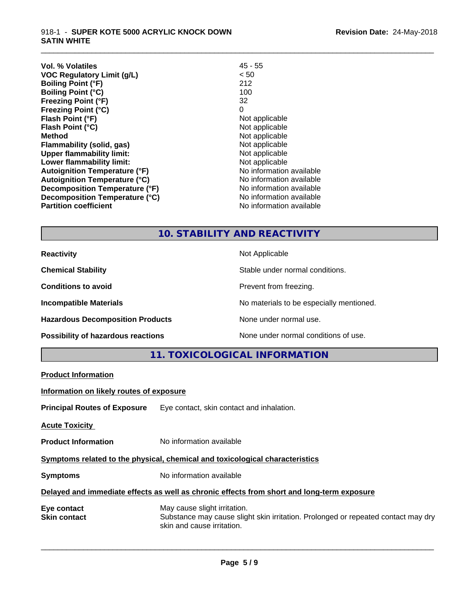#### 918-1 - **SUPER KOTE 5000 ACRYLIC KNOCK DOWN SATIN WHITE**

| <b>Vol. % Volatiles</b><br><b>VOC Regulatory Limit (g/L)</b><br><b>Boiling Point (°F)</b><br><b>Boiling Point (°C)</b><br><b>Freezing Point (°F)</b><br><b>Freezing Point (°C)</b><br>Flash Point (°F)<br>Flash Point (°C)<br><b>Method</b><br>Flammability (solid, gas)<br><b>Upper flammability limit:</b><br>Lower flammability limit:<br><b>Autoignition Temperature (°F)</b><br><b>Autoignition Temperature (°C)</b> | 45 - 55<br>< 50<br>212<br>100<br>32<br>0<br>Not applicable<br>Not applicable<br>Not applicable<br>Not applicable<br>Not applicable<br>Not applicable<br>No information available<br>No information available<br>No information available |
|---------------------------------------------------------------------------------------------------------------------------------------------------------------------------------------------------------------------------------------------------------------------------------------------------------------------------------------------------------------------------------------------------------------------------|------------------------------------------------------------------------------------------------------------------------------------------------------------------------------------------------------------------------------------------|
| Decomposition Temperature (°F)<br>Decomposition Temperature (°C)<br><b>Partition coefficient</b>                                                                                                                                                                                                                                                                                                                          | No information available<br>No information available                                                                                                                                                                                     |
|                                                                                                                                                                                                                                                                                                                                                                                                                           |                                                                                                                                                                                                                                          |

## **10. STABILITY AND REACTIVITY**

\_\_\_\_\_\_\_\_\_\_\_\_\_\_\_\_\_\_\_\_\_\_\_\_\_\_\_\_\_\_\_\_\_\_\_\_\_\_\_\_\_\_\_\_\_\_\_\_\_\_\_\_\_\_\_\_\_\_\_\_\_\_\_\_\_\_\_\_\_\_\_\_\_\_\_\_\_\_\_\_\_\_\_\_\_\_\_\_\_\_\_\_\_

| <b>Reactivity</b>                       | Not Applicable                           |
|-----------------------------------------|------------------------------------------|
| <b>Chemical Stability</b>               | Stable under normal conditions.          |
| <b>Conditions to avoid</b>              | Prevent from freezing.                   |
| <b>Incompatible Materials</b>           | No materials to be especially mentioned. |
| <b>Hazardous Decomposition Products</b> | None under normal use.                   |
| Possibility of hazardous reactions      | None under normal conditions of use.     |

**11. TOXICOLOGICAL INFORMATION**

| <b>Product Information</b>               |                                                                                                                                                 |  |
|------------------------------------------|-------------------------------------------------------------------------------------------------------------------------------------------------|--|
| Information on likely routes of exposure |                                                                                                                                                 |  |
|                                          | <b>Principal Routes of Exposure</b> Eye contact, skin contact and inhalation.                                                                   |  |
| <b>Acute Toxicity</b>                    |                                                                                                                                                 |  |
| <b>Product Information</b>               | No information available                                                                                                                        |  |
|                                          | Symptoms related to the physical, chemical and toxicological characteristics                                                                    |  |
| <b>Symptoms</b>                          | No information available                                                                                                                        |  |
|                                          | Delayed and immediate effects as well as chronic effects from short and long-term exposure                                                      |  |
| Eye contact<br><b>Skin contact</b>       | May cause slight irritation.<br>Substance may cause slight skin irritation. Prolonged or repeated contact may dry<br>skin and cause irritation. |  |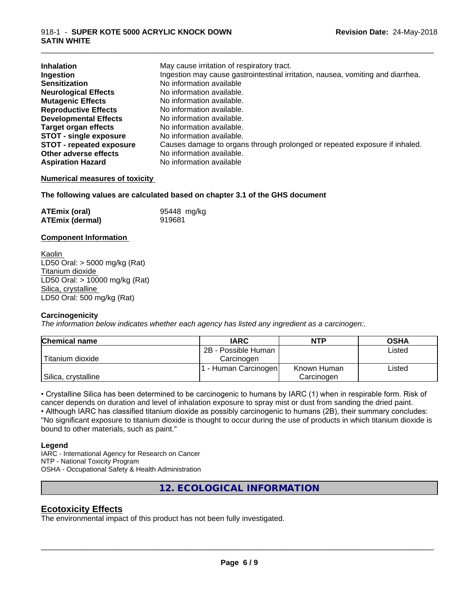#### 918-1 - **SUPER KOTE 5000 ACRYLIC KNOCK DOWN SATIN WHITE**

| <b>Inhalation</b>               | May cause irritation of respiratory tract.                                      |
|---------------------------------|---------------------------------------------------------------------------------|
| Ingestion                       | Ingestion may cause gastrointestinal irritation, nausea, vomiting and diarrhea. |
| <b>Sensitization</b>            | No information available                                                        |
| <b>Neurological Effects</b>     | No information available.                                                       |
| <b>Mutagenic Effects</b>        | No information available.                                                       |
| <b>Reproductive Effects</b>     | No information available.                                                       |
| <b>Developmental Effects</b>    | No information available.                                                       |
| <b>Target organ effects</b>     | No information available.                                                       |
| <b>STOT - single exposure</b>   | No information available.                                                       |
| <b>STOT - repeated exposure</b> | Causes damage to organs through prolonged or repeated exposure if inhaled.      |
| Other adverse effects           | No information available.                                                       |
| <b>Aspiration Hazard</b>        | No information available                                                        |

\_\_\_\_\_\_\_\_\_\_\_\_\_\_\_\_\_\_\_\_\_\_\_\_\_\_\_\_\_\_\_\_\_\_\_\_\_\_\_\_\_\_\_\_\_\_\_\_\_\_\_\_\_\_\_\_\_\_\_\_\_\_\_\_\_\_\_\_\_\_\_\_\_\_\_\_\_\_\_\_\_\_\_\_\_\_\_\_\_\_\_\_\_

#### **Numerical measures of toxicity**

#### **The following values are calculated based on chapter 3.1 of the GHS document**

| <b>ATEmix (oral)</b>   | 95448 mg/kg |
|------------------------|-------------|
| <b>ATEmix (dermal)</b> | 919681      |

#### **Component Information**

Kaolin LD50 Oral: > 5000 mg/kg (Rat) Titanium dioxide LD50 Oral: > 10000 mg/kg (Rat) Silica, crystalline LD50 Oral: 500 mg/kg (Rat)

#### **Carcinogenicity**

*The information below indicateswhether each agency has listed any ingredient as a carcinogen:.*

| <b>Chemical name</b> | <b>IARC</b>          | <b>NTP</b>  | <b>OSHA</b> |
|----------------------|----------------------|-------------|-------------|
|                      | 2B - Possible Human  |             | Listed      |
| Titanium dioxide     | Carcinogen           |             |             |
|                      | . - Human Carcinogen | Known Human | Listed      |
| Silica, crystalline  |                      | Carcinogen  |             |

• Crystalline Silica has been determined to be carcinogenic to humans by IARC (1) when in respirable form. Risk of cancer depends on duration and level of inhalation exposure to spray mist or dust from sanding the dried paint.• Although IARC has classified titanium dioxide as possibly carcinogenic to humans (2B), their summary concludes: "No significant exposure to titanium dioxide is thought to occur during the use of products in which titanium dioxide is bound to other materials, such as paint."

#### **Legend**

IARC - International Agency for Research on Cancer NTP - National Toxicity Program OSHA - Occupational Safety & Health Administration

**12. ECOLOGICAL INFORMATION**

#### **Ecotoxicity Effects**

The environmental impact of this product has not been fully investigated.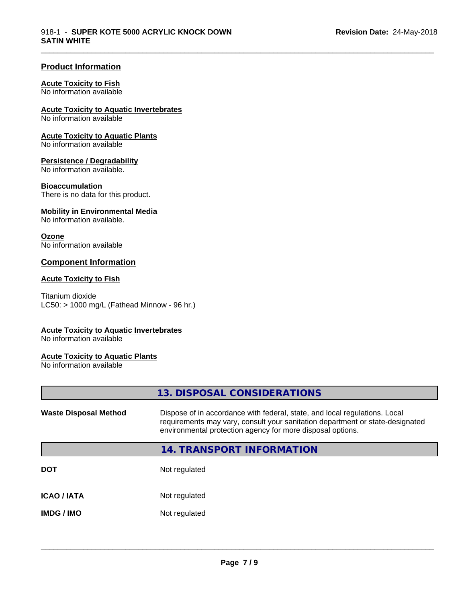\_\_\_\_\_\_\_\_\_\_\_\_\_\_\_\_\_\_\_\_\_\_\_\_\_\_\_\_\_\_\_\_\_\_\_\_\_\_\_\_\_\_\_\_\_\_\_\_\_\_\_\_\_\_\_\_\_\_\_\_\_\_\_\_\_\_\_\_\_\_\_\_\_\_\_\_\_\_\_\_\_\_\_\_\_\_\_\_\_\_\_\_\_

#### **Product Information**

#### **Acute Toxicity to Fish**

No information available

#### **Acute Toxicity to Aquatic Invertebrates**

No information available

#### **Acute Toxicity to Aquatic Plants**

No information available

#### **Persistence / Degradability**

No information available.

#### **Bioaccumulation**

There is no data for this product.

#### **Mobility in Environmental Media**

No information available.

#### **Ozone**

No information available

#### **Component Information**

#### **Acute Toxicity to Fish**

Titanium dioxide  $LC50:$  > 1000 mg/L (Fathead Minnow - 96 hr.)

#### **Acute Toxicity to Aquatic Invertebrates**

No information available

#### **Acute Toxicity to Aquatic Plants**

No information available

|                              | 13. DISPOSAL CONSIDERATIONS                                                                                                                                                                                               |
|------------------------------|---------------------------------------------------------------------------------------------------------------------------------------------------------------------------------------------------------------------------|
| <b>Waste Disposal Method</b> | Dispose of in accordance with federal, state, and local regulations. Local<br>requirements may vary, consult your sanitation department or state-designated<br>environmental protection agency for more disposal options. |
|                              | 14. TRANSPORT INFORMATION                                                                                                                                                                                                 |
| <b>DOT</b>                   | Not regulated                                                                                                                                                                                                             |
| <b>ICAO/IATA</b>             | Not regulated                                                                                                                                                                                                             |
| <b>IMDG / IMO</b>            | Not regulated                                                                                                                                                                                                             |
|                              |                                                                                                                                                                                                                           |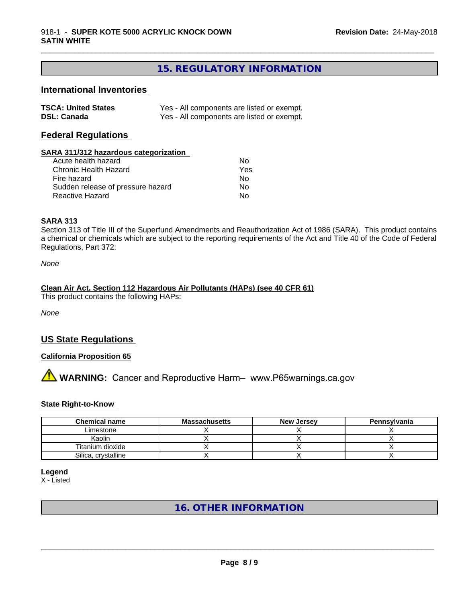#### **15. REGULATORY INFORMATION**

\_\_\_\_\_\_\_\_\_\_\_\_\_\_\_\_\_\_\_\_\_\_\_\_\_\_\_\_\_\_\_\_\_\_\_\_\_\_\_\_\_\_\_\_\_\_\_\_\_\_\_\_\_\_\_\_\_\_\_\_\_\_\_\_\_\_\_\_\_\_\_\_\_\_\_\_\_\_\_\_\_\_\_\_\_\_\_\_\_\_\_\_\_

#### **International Inventories**

| <b>TSCA: United States</b> | Yes - All components are listed or exempt. |
|----------------------------|--------------------------------------------|
| <b>DSL: Canada</b>         | Yes - All components are listed or exempt. |

#### **Federal Regulations**

#### **SARA 311/312 hazardous categorization**

| Acute health hazard               | Nο  |
|-----------------------------------|-----|
| Chronic Health Hazard             | Yes |
| Fire hazard                       | Nο  |
| Sudden release of pressure hazard | N٥  |
| Reactive Hazard                   | N٥  |

#### **SARA 313**

Section 313 of Title III of the Superfund Amendments and Reauthorization Act of 1986 (SARA). This product contains a chemical or chemicals which are subject to the reporting requirements of the Act and Title 40 of the Code of Federal Regulations, Part 372:

*None*

#### **Clean Air Act,Section 112 Hazardous Air Pollutants (HAPs) (see 40 CFR 61)**

This product contains the following HAPs:

*None*

#### **US State Regulations**

#### **California Proposition 65**

# **AVIMARNING:** Cancer and Reproductive Harm– www.P65warnings.ca.gov

#### **State Right-to-Know**

| <b>Chemical name</b> | <b>Massachusetts</b> | <b>New Jersey</b> | Pennsylvania |
|----------------------|----------------------|-------------------|--------------|
| Limestone            |                      |                   |              |
| Kaolin               |                      |                   |              |
| Titanium dioxide     |                      |                   |              |
| Silica, crystalline  |                      |                   |              |

**Legend**

X - Listed

#### **16. OTHER INFORMATION**